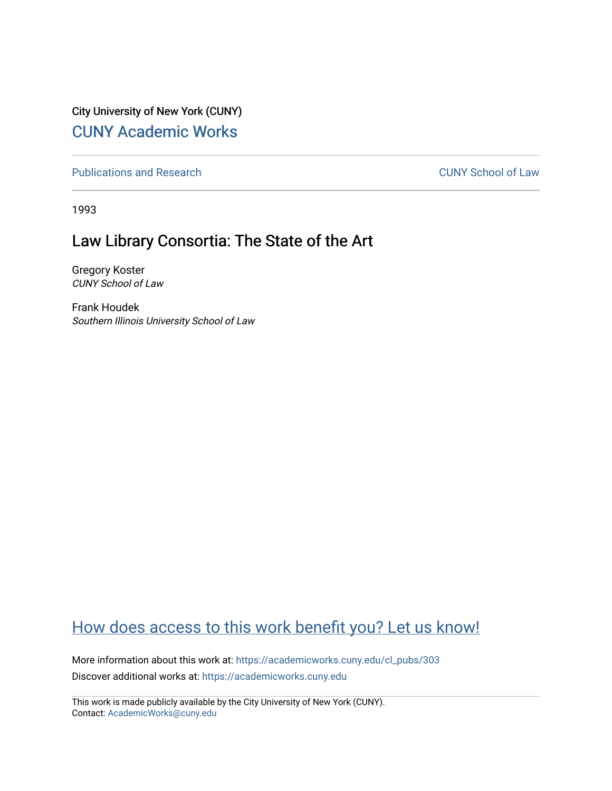City University of New York (CUNY) [CUNY Academic Works](https://academicworks.cuny.edu/) 

[Publications and Research](https://academicworks.cuny.edu/cl_pubs) [CUNY School of Law](https://academicworks.cuny.edu/cl) 

1993

## Law Library Consortia: The State of the Art

Gregory Koster CUNY School of Law

Frank Houdek Southern Illinois University School of Law

## [How does access to this work benefit you? Let us know!](http://ols.cuny.edu/academicworks/?ref=https://academicworks.cuny.edu/cl_pubs/303)

More information about this work at: [https://academicworks.cuny.edu/cl\\_pubs/303](https://academicworks.cuny.edu/cl_pubs/303) Discover additional works at: [https://academicworks.cuny.edu](https://academicworks.cuny.edu/?)

This work is made publicly available by the City University of New York (CUNY). Contact: [AcademicWorks@cuny.edu](mailto:AcademicWorks@cuny.edu)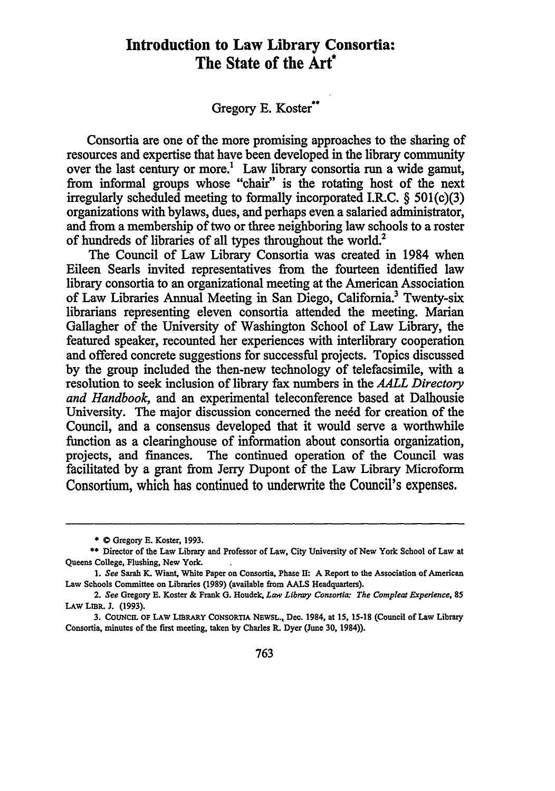## **Introduction to Law Library Consortia: The State of the Art**

## Gregory E. Koster\*\*

Consortia are one of the more promising approaches to the sharing of resources and expertise that have been developed in the library community over the last century or more.<sup>1</sup> Law library consortia run a wide gamut, from informal groups whose "chair" is the rotating host of the next irregularly scheduled meeting to formally incorporated **I.R.C. §** 501(c)(3) organizations with bylaws, dues, and perhaps even a salaried administrator, and from a membership of two or three neighboring law schools to a roster of hundreds of libraries of all types throughout the world.<sup>2</sup>

The Council of Law Library Consortia was created in 1984 when Eileen Searls invited representatives from the fourteen identified law library consortia to an organizational meeting at the American Association of Law Libraries Annual Meeting in San Diego, California.3 Twenty-six librarians representing eleven consortia attended the meeting. Marian Gallagher of the University of Washington School of Law Library, the featured speaker, recounted her experiences with interlibrary cooperation and offered concrete suggestions for successful projects. Topics discussed by the group included the then-new technology of telefacsimile, with a resolution to seek inclusion of library fax numbers in the *AALL Directory and Handbook,* and an experimental teleconference based at Dalhousie University. The major discussion concerned the need for creation of the Council, and a consensus developed that it would serve a worthwhile function as a clearinghouse of information about consortia organization, projects, and finances. The continued operation of the Council was facilitated by a grant from Jerry Dupont of the Law Library Microform Consortium, which has continued to underwrite the Council's expenses.

<sup>\*</sup> **0 Gregory E. Koster, 1993.**

**<sup>\*</sup> Director of the Law Library and Professor of Law, City University of New York School of Law at Queens College, Flushing, New York.**

*<sup>1.</sup> See* **Sarah K. Wiant, White Paper on Consortia, Phase 11: A Report to the Association of American Law Schools Committee on Libraries (1989) (available from AALS Headquarters).**

**<sup>2.</sup>** *See* **Gregory E. Koster & Frank G. Houdek,** *Law Libray Consortia: The Compleat Experience, 85* **LAW LiBR. J. (1993).**

<sup>3.</sup> COUNCIL OF LAW LIBRARY CONSORTIA NEWSL., Dec. 1984, at 15, 15-18 (Council of Law Library Consortia, minutes of the first meeting, taken **by** Charles R. Dyer (June **30,** 1984)).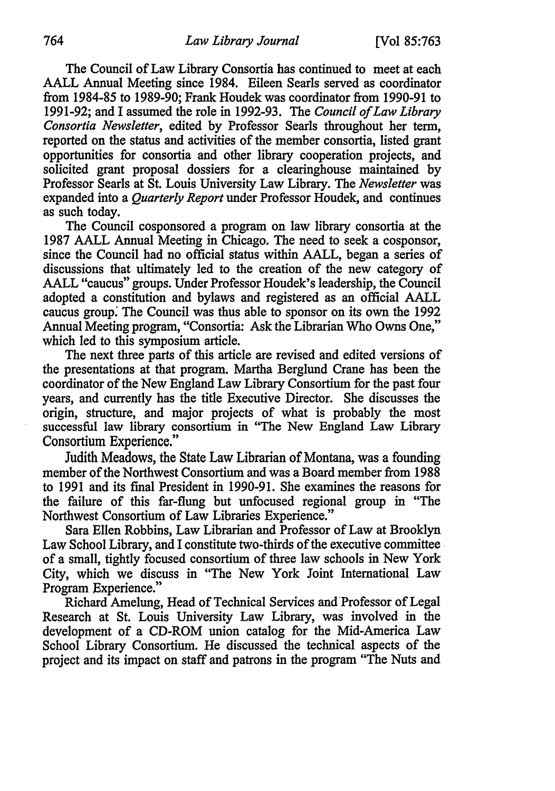The Council of Law Library Consortia has continued to meet at each AALL Annual Meeting since 1984. Eileen Searls served as coordinator from 1984-85 to 1989-90; Frank Houdek was coordinator from 1990-91 to 1991-92; and I assumed the role in 1992-93. The *Council of Law Library Consortia Newsletter,* edited by Professor Searls throughout her term, reported on the status and activities of the member consortia, listed grant opportunities for consortia and other library cooperation projects, and solicited grant proposal dossiers for a clearinghouse maintained by Professor Searls at St. Louis University Law Library. The *Newsletter* was expanded into a *Quarterly Report* under Professor Houdek, and continues as such today.

The Council cosponsored a program on law library consortia at the 1987 AALL Annual Meeting in Chicago. The need to seek a cosponsor, since the Council had no official status within AALL, began a series of discussions that ultimately led to the creation of the new category of AALL "caucus" groups. Under Professor Houdek's leadership, the Council adopted a constitution and bylaws and registered as an official AALL caucus group. The Council was thus able to sponsor on its own the 1992 Annual Meeting program, "Consortia: Ask the Librarian Who Owns One," which led to this symposium article.

The next three parts of this article are revised and edited versions of the presentations at that program. Martha Berglund Crane has been the coordinator of the New England Law Library Consortium for the past four years, and currently has the title Executive Director. She discusses the origin, structure, and major projects of what is probably the most successful law library consortium in "The New England Law Library Consortium Experience."

Judith Meadows, the State Law Librarian of Montana, was a founding member of the Northwest Consortium and was a Board member from 1988 to 1991 and its final President in 1990-91. She examines the reasons for the failure of this far-flung but unfocused regional group in "The Northwest Consortium of Law Libraries Experience."

Sara Ellen Robbins, Law Librarian and Professor of Law at Brooklyn Law School Library, and I constitute two-thirds of the executive committee of a small, tightly focused consortium of three law schools in New York City, which we discuss in "The New York Joint International Law Program Experience."

Richard Amelung, Head of Technical Services and'Professor of Legal Research at St. Louis University Law Library, was involved in the development of a CD-ROM union catalog for the Mid-America Law School Library Consortium. He discussed the technical aspects of the project and its impact on staff and patrons in the program "The Nuts and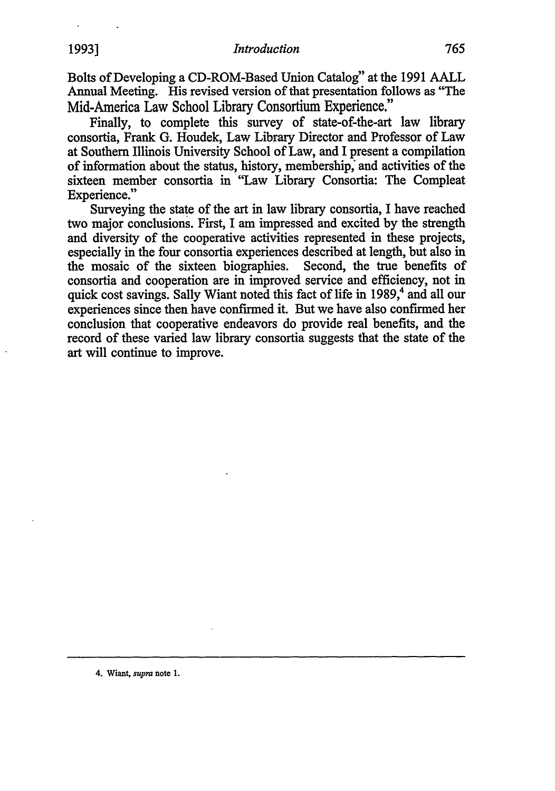Bolts of Developing a CD-ROM-Based Union Catalog" at the 1991 AALL Annual Meeting. His revised version of that presentation follows as "The Mid-America Law School Library Consortium Experience."

Finally, to complete this survey of state-of-the-art law library consortia, Frank G. Houdek, Law Library Director and Professor of Law at Southern Illinois University School of Law, and I present a compilation of information about the status, history, membership, and activities of the sixteen member consortia in "Law Library Consortia: The Compleat Experience."

Surveying the state of the art in law library consortia, I have reached two major conclusions. First, I am impressed and excited by the strength and diversity of the cooperative activities represented in these projects, especially in the four consortia experiences described at length, but also in the mosaic of the sixteen biographies. Second, the true benefits of consortia and cooperation are in improved service and efficiency, not in quick cost savings. Sally Wiant noted this fact of life in 1989,<sup>4</sup> and all our experiences since then have confirmed it. But we have also confirmed her conclusion that cooperative endeavors do provide real benefits, and the record of these varied law library consortia suggests that the state of the art will continue to improve.

**4.** Wiant, *supra* note **1.**